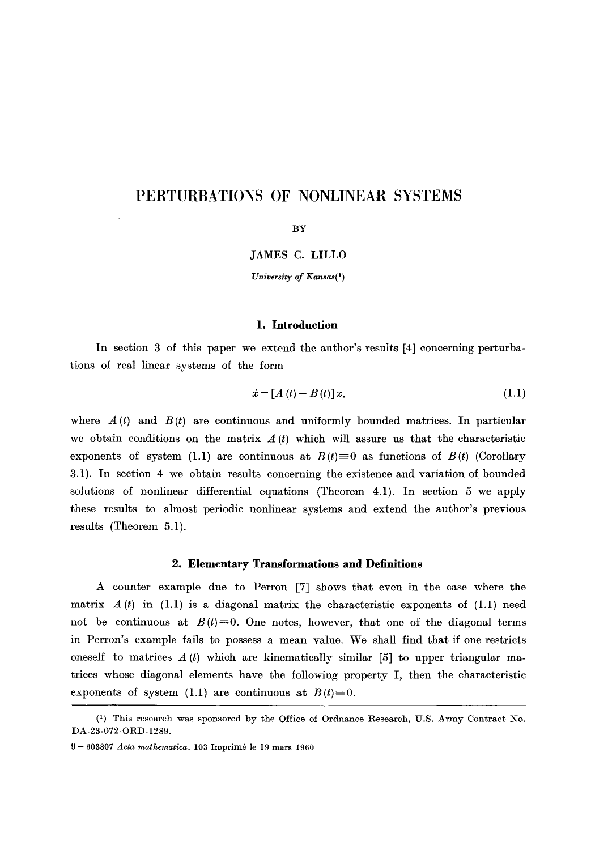# **PERTURBATIONS OF NONLINEAR SYSTEMS**

**BY** 

JAMES C. LILLO

*University of Kansas(1)* 

## **1. Introduction**

In section 3 of this paper we extend the author's results [4] concerning perturbations of real linear systems of the form

$$
\dot{x} = [A(t) + B(t)]x, \tag{1.1}
$$

where  $A(t)$  and  $B(t)$  are continuous and uniformly bounded matrices. In particular we obtain conditions on the matrix  $A(t)$  which will assure us that the characteristic exponents of system (1.1) are continuous at  $B(t)=0$  as functions of  $B(t)$  (Corollary 3.1). In section 4 we obtain results concerning the existence and variation of bounded solutions of nonlinear differential equations (Theorem 4.1). In section 5 we apply these results to almost periodic nonlinear systems and extend the author's previous results (Theorem 5.1).

#### **2. Elementary Transformations and Definitions**

A counter example due to Perron [7] shows that even in the case where the matrix  $A(t)$  in (1.1) is a diagonal matrix the characteristic exponents of (1.1) need not be continuous at  $B(t)=0$ . One notes, however, that one of the diagonal terms in Perron's example fails to possess a mean value. We shall find that if one restricts oneself to matrices  $A(t)$  which are kinematically similar [5] to upper triangular matrices whose diagonal elements have the following property I, then the characteristic exponents of system (1.1) are continuous at  $B(t)=0$ .

<sup>(1)</sup> This research was sponsored by the Office of Ordnance Research, U.S. Army Contract No. DA-23-072-ORD-1289.

<sup>9 - 603807</sup> *Aeta mathematica.* 103 Imprim6 le 19 mars 1960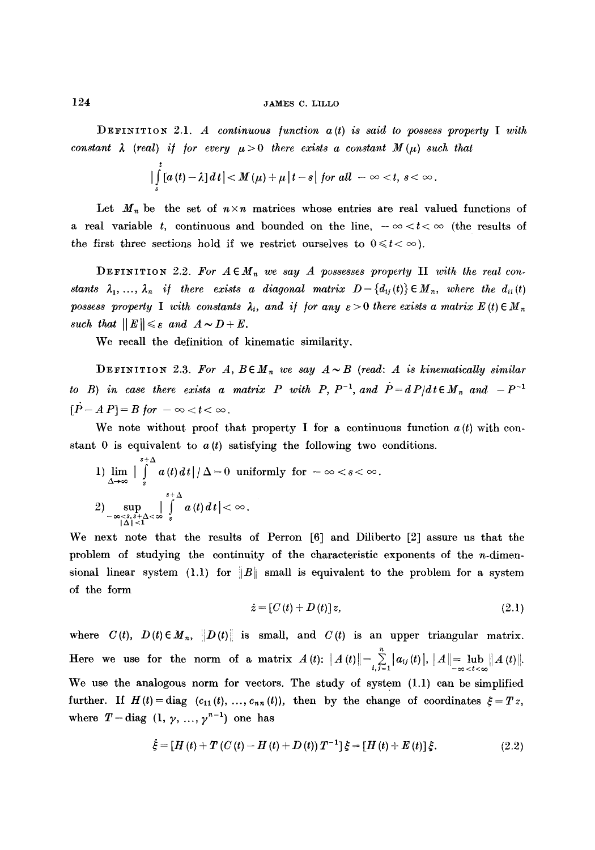DEFINITION 2.1. *A continuous function a(t) is said to possess property I with constant*  $\lambda$  *(real) if for every*  $\mu > 0$  *there exists a constant M(* $\mu$ *) such that* 

$$
\left|\int\limits_s^t [a(t)-\lambda] dt\right| < M(\mu)+\mu\left|t-s\right| \text{ for all } -\infty
$$

Let  $M_n$  be the set of  $n \times n$  matrices whose entries are real valued functions of a real variable t, continuous and bounded on the line,  $-\infty < t < \infty$  (the results of the first three sections hold if we restrict ourselves to  $0 \leq t < \infty$ ).

**DEFINITION** 2.2. For  $A \in M_n$  we say A possesses property II with the real con*stants*  $\lambda_1, \ldots, \lambda_n$  *if there exists a diagonal matrix*  $D = \{d_{ij}(t)\} \in M_n$ , where the  $d_{ii}(t)$ possess property I with constants  $\lambda_i$ , and if for any  $\varepsilon > 0$  there exists a matrix  $E(t) \in M_n$ *such that*  $||E|| \leq \varepsilon$  and  $A \sim D + E$ .

We recall the definition of kinematic similarity.

**DEFINITION** 2.3. For  $A, B \in M_n$  we say  $A \sim B$  (read: A is kinematically similar *to B)* in case there exists a matrix P with P,  $P^{-1}$ , and  $P^{-1} = dP/dt \in M_n$  and  $-P^{-1}$  $[\dot{P}-A\,P]=B$  for  $-\infty < t < \infty$ .

We note without proof that property I for a continuous function  $a(t)$  with constant 0 is equivalent to  $a(t)$  satisfying the following two conditions.

1) 
$$
\lim_{\Delta \to \infty} \Big| \int_{s}^{s+\Delta} a(t) dt \Big| / \Delta = 0 \text{ uniformly for } -\infty < s < \infty.
$$
  
2) 
$$
\sup_{\substack{-\infty < s, s+\Delta < \infty \\ |\Delta| < 1}} \int_{s}^{s+\Delta} a(t) dt \Big| < \infty.
$$

We next note that the results of Perron [6] and Diliberto [2] assure us that the problem of studying the continuity of the characteristic exponents of the  $n$ -dimensional linear system (1.1) for  $||B||$  small is equivalent to the problem for a system of the form

$$
\dot{z} = [C(t) + D(t)]z, \qquad (2.1)
$$

where  $C(t)$ ,  $D(t) \in M_n$ ,  $\left\| D(t) \right\|$  is small, and  $C(t)$  is an upper triangular matrix. Here we use for the norm of a matrix  $A(t): ||A(t)|| = \sum_{i,j=1}^{n} |a_{ij}(t)|, ||A|| = \lim_{t \to \infty} ||A(t)||.$ We use the analogous norm for vectors. The study of system  $(1.1)$  can be simplified further. If  $H(t) = \text{diag}(c_{11}(t), \ldots, c_{nn}(t)),$  then by the change of coordinates  $\xi = Tz$ , where  $T = diag (1, \gamma, ..., \gamma^{n-1})$  one has

$$
\dot{\xi} = [H(t) + T(C(t) - H(t) + D(t))T^{-1}]\xi = [H(t) + E(t)]\xi.
$$
\n(2.2)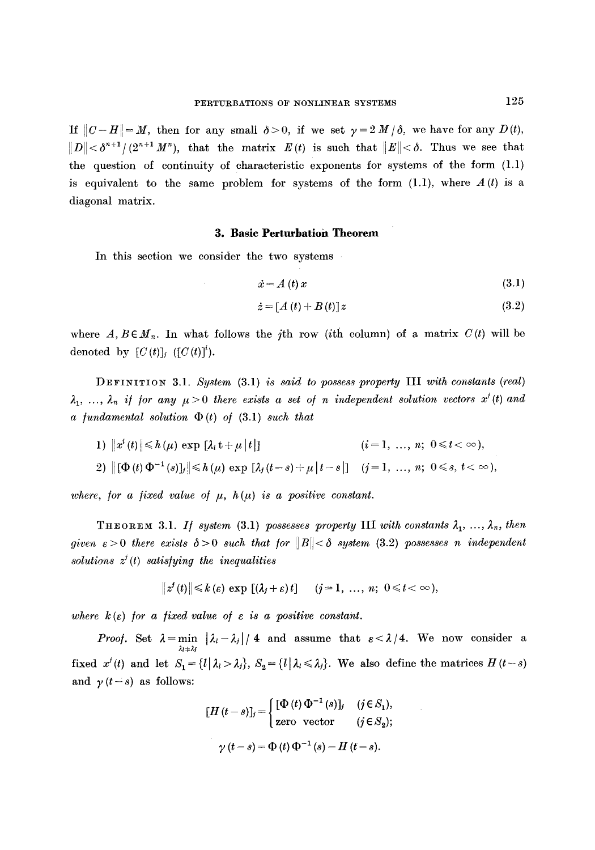If  $||C-H||=M$ , then for any small  $\delta > 0$ , if we set  $\gamma = 2 M/\delta$ , we have for any  $D(t)$ ,  $||D|| < \delta^{n+1}/(2^{n+1} M^n)$ , that the matrix  $E(t)$  is such that  $||E|| < \delta$ . Thus we see that the question of continuity of characteristic exponents for systems of the form (1.1) is equivalent to the same problem for systems of the form  $(1.1)$ , where  $A(t)$  is a diagonal matrix.

### **3. Basic Perturbation Theorem**

In this section we consider the two systems

$$
\dot{x} = A(t)x \tag{3.1}
$$

$$
\dot{z} = [A(t) + B(t)]z \tag{3.2}
$$

where  $A, B \in M_n$ . In what follows the *j*th row (*i*th column) of a matrix  $C(t)$  will be denoted by  $[C(t)]_j$  ( $[C(t)]^i$ ).

DEFINITION 3.1. *System* (3.1) *is said to possess property* **III** *with constants (real)*  $\lambda_1, \ldots, \lambda_n$  if for any  $\mu > 0$  there exists a set of n independent solution vectors  $x^i(t)$  and  $\alpha$  *fundamental solution*  $\Phi(t)$  *of* (3.1) *such that* 

1) 
$$
||x^{i}(t)|| \leq h(\mu) \exp [\lambda_{i} t + \mu |t|]
$$
  
\n2)  $||[\Phi(t) \Phi^{-1}(s)]_{j}|| \leq h(\mu) \exp [\lambda_{j}(t-s) + \mu |t-s|]$   $(j = 1, ..., n; 0 \leq s, t < \infty),$ 

*where, for a fixed value of*  $\mu$ *, h(* $\mu$ *) is a positive constant.* 

**THEOREM** 3.1. *If system* (3.1) *possesses property* III *with constants*  $\lambda_1, \ldots, \lambda_n$ , then *given*  $\varepsilon > 0$  *there exists*  $\delta > 0$  *such that for*  $||B|| < \delta$  *system* (3.2) *possesses n independent*  $solutions \, z^j(t)$  satisfying the inequalities

$$
\|z^{j}(t)\| \leq k(\varepsilon) \exp[(\lambda_{j}+\varepsilon)t] \quad (j=1, \ldots, n; \; 0 \leq t < \infty),
$$

where  $k(\varepsilon)$  for a fixed value of  $\varepsilon$  is a positive constant.

*Proof.* Set  $\lambda = \min_{\lambda_l = \lambda_j} |\lambda_l - \lambda_j| / 4$  and assume that  $\epsilon < \lambda / 4$ . We now consider a fixed  $x^i(t)$  and let  $S_1 = \{l | \lambda_l > \lambda_j\}$ ,  $S_2 = \{l | \lambda_l \leq \lambda_j\}$ . We also define the matrices  $H(t-s)$ and  $\gamma(t-s)$  as follows:

$$
[H(t-s)]_j = \begin{cases} [\Phi(t) \, \Phi^{-1}(s)]_j & (j \in S_1), \\ \text{zero vector} & (j \in S_2); \end{cases}
$$
  

$$
\gamma(t-s) = \Phi(t) \, \Phi^{-1}(s) - H(t-s).
$$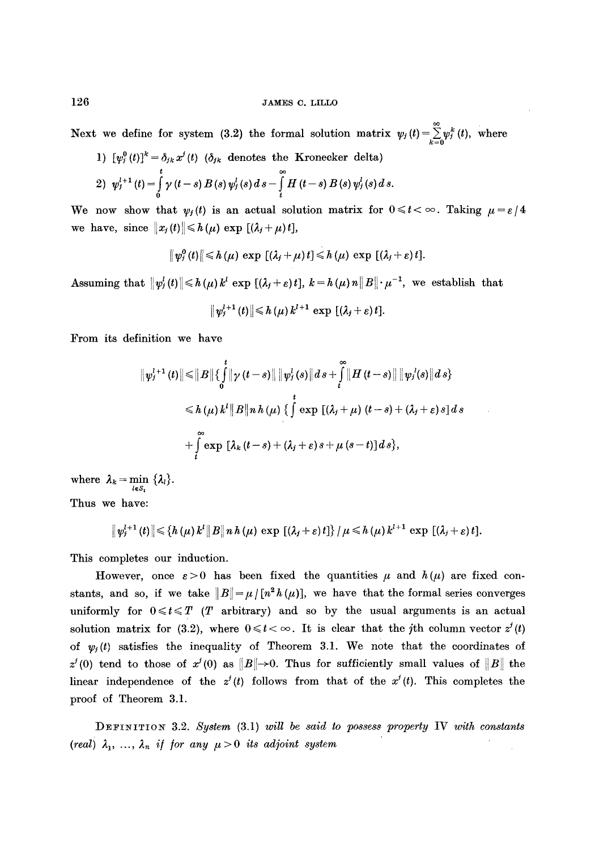## 126 JAMES C. LILLO

Next we define for system (3.2) the formal solution matrix  $\psi_j(t)=\sum_{k=0}^{\infty} \psi_j^k(t)$ , where  $1)$   $\int_{a}^{b} (t)dt = \int_{a}^{b} dt$  (4) (8) denotes the Kroneeker delta)

1) 
$$
\psi_i(t) = \partial_{ik} x(t)
$$
 ( $\partial_{jk}$  denotes the Kronecker detail)  
\n2)  $\psi_j^{l+1}(t) = \int_0^t \gamma(t-s) B(s) \psi_j^l(s) ds - \int_t^{\infty} H(t-s) B(s) \psi_j^l(s) ds.$ 

We now show that  $\psi_i(t)$  is an actual solution matrix for  $0 \leq t < \infty$ . Taking  $\mu = \varepsilon/4$ we have, since  $||x_j(t)|| \le h(\mu) \exp [(\lambda_j + \mu) t],$ 

$$
\|\psi_j^0(t)\|\leqslant h(\mu)\,\exp\,\left[(\lambda_j+\mu)\,t\right]\leqslant h(\mu)\,\exp\,\left[(\lambda_j+\varepsilon)\,t\right].
$$

Assuming that  $||\psi_j^l(t)|| \le h(\mu) k^l$  exp  $[(\lambda_j + \varepsilon)t]$ ,  $k = h(\mu) n ||B|| \cdot \mu^{-1}$ , we establish that

$$
\|\psi_j^{l+1}(t)\|\leqslant h\left(\mu\right)k^{l+1}\exp\left[\left(\lambda_j+\varepsilon\right)t\right].
$$

From its definition we have

$$
\begin{aligned} \|\psi_j^{l+1}(t)\| \leq \|B\| \{ \int_0^t \|\gamma(t-s)\| \, \|\psi_j^l(s)\| \, ds + \int_t^\infty \|H(t-s)\| \, \|\psi_j^l(s)\| \, ds \} \\ \leq h(\mu) \, k^l \|B\| \, n \, h(\mu) \, \{ \int_0^t \exp \, [(\lambda_j + \mu) \, (t-s) + (\lambda_j + \varepsilon) \, s] \, ds \\ + \int_t^\infty \exp \, [ \lambda_k \, (t-s) + (\lambda_j + \varepsilon) \, s + \mu \, (s-t) ] \, ds \}, \end{aligned}
$$

where  $\lambda_k = \min_{l \in S_1} {\lambda_l}.$ Thus we have:

$$
\|\psi_j^{l+1}(t)\|\leq \left\{h(\mu) k^l \|B\|n h(\mu) \exp\left[(\lambda_j+\varepsilon)t\right]\right\}/\mu\leq h(\mu) k^{l+1} \exp\left[(\lambda_j+\varepsilon)t\right].
$$

This completes our induction.

However, once  $\varepsilon > 0$  has been fixed the quantities  $\mu$  and  $h(\mu)$  are fixed constants, and so, if we take  $||B|| = \mu/[n^2 h(\mu)]$ , we have that the formal series converges uniformly for  $0 \leq t \leq T$  (T arbitrary) and so by the usual arguments is an actual solution matrix for (3.2), where  $0 \leq t < \infty$ . It is clear that the *j*th column vector  $z^{j}(t)$ of  $\psi_i(t)$  satisfies the inequality of Theorem 3.1. We note that the coordinates of  $z'(0)$  tend to those of  $x'(0)$  as  $||B||\rightarrow 0$ . Thus for sufficiently small values of  $||B||$  the linear independence of the  $z^{j}(t)$  follows from that of the  $x^{j}(t)$ . This completes the proof of Theorem 3.1.

:DEFINITION 3.2. *System* (3.1) *will be said to possess property* IV *with constants (real)*  $\lambda_1, \ldots, \lambda_n$  *if for any*  $\mu > 0$  *its adjoint system*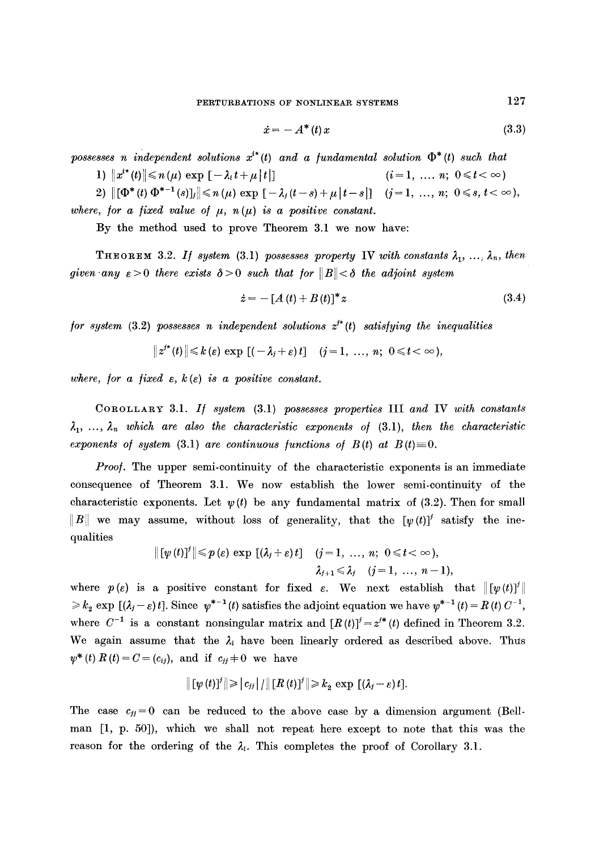$$
\dot{x} = -A^*(t)x \tag{3.3}
$$

possesses n independent solutions  $x^{i*}(t)$  and a fundamental solution  $\Phi^*(t)$  such that

**1)**  $||x^{i*}(t)|| \le n(\mu) \exp[-\lambda_i t + \mu |t|]$   $(i=1, ..., n; 0 \le t < \infty)$ 

2)  $\|[\Phi^*(t) \Phi^{*-1}(s)]_j\| \leq n(\mu) \exp[-\lambda_j(t-s)+\mu|t-s|]$   $(j=1, ..., n; 0 \leq s, t < \infty)$ , where, for a fixed value of  $\mu$ ,  $n(\mu)$  is a positive constant.

By the method used to prove Theorem 3.1 we now have:

**THEOREM 3.2.** *If system* (3.1) *possesses property* **IV** *with constants*  $\lambda_1, \ldots, \lambda_n$ , *then given any*  $\epsilon > 0$  *there exists*  $\delta > 0$  *such that for*  $||B|| < \delta$  *the adjoint system* 

$$
\dot{z} = -[A(t) + B(t)]^* z \tag{3.4}
$$

*for system* (3.2) *possesses n independent solutions*  $z^*$  (*t*) *satisfying the inequalities* 

$$
||z^{j*}(t)|| \leq k(\varepsilon) \exp [(-\lambda_j + \varepsilon)t] \quad (j = 1, \ldots, n; \ 0 \leq t < \infty),
$$

*where, for a fixed*  $\varepsilon$ *, k(* $\varepsilon$ *) is a positive constant.* 

COROLLARY 3.1. *I/ system* (3.1) *possesses properties* III *and* IV *with constants*   $\lambda_1, \ldots, \lambda_n$  which are also the characteristic exponents of (3.1), then the characteristic *exponents of system* (3.1) *are continuous functions of B(t) at B(t)* $\equiv$ 0.

*Proof.* The upper semi-continuity of the characteristic exponents is an immediate consequence of Theorem 3.1. We now establish the lower semi-continuity of the characteristic exponents. Let  $\psi(t)$  be any fundamental matrix of (3.2). Then for small ||B|| we may assume, without loss of generality, that the  $[\psi(t)]^j$  satisfy the inequalities

$$
\begin{aligned}\n\|\left[\psi\left(t\right)\right]^{j}\| \leqslant & p\left(\varepsilon\right)\,\exp\,\left[\left(\lambda_{j}+\varepsilon\right)t\right] & \quad (j=1,\,\,...,\,n;\ 0\leqslant t<\infty),\\ \lambda_{j+1}\leqslant & \lambda_{j} \quad (j=1,\,\,...,\,n-1),\n\end{aligned}
$$

where  $p(\varepsilon)$  is a positive constant for fixed  $\varepsilon$ . We next establish that  $\|[\psi(t)]^{\dagger}\|$  $\ge k_2 \exp \left[ (\lambda_j - \varepsilon) t \right]$ . Since  $\psi^{*-1}(t)$  satisfies the adjoint equation we have  $\psi^{*-1}(t) = R(t) C^{-1}$ , where  $C^{-1}$  is a constant nonsingular matrix and  $[R(t)]^j = z^{j*}(t)$  defined in Theorem 3.2. We again assume that the  $\lambda_i$  have been linearly ordered as described above. Thus  $\psi^*(t) R(t) = C = (c_{ij}), \text{ and if } c_{ij} \neq 0 \text{ we have}$ 

$$
\left\| \left[ \psi(t) \right]^j \right\| \geqslant \left| c_{jj} \right| / \left\| \left[ R\left( t \right) \right]^j \right\| \geqslant k_2 \, \exp \, \left[ \left( \lambda_j - \varepsilon \right) t \right].
$$

The case  $c_{ij} = 0$  can be reduced to the above case by a dimension argument (Bellman [1, p. 50]), which we shall not repeat here except to note that this was the reason for the ordering of the  $\lambda_i$ . This completes the proof of Corollary 3.1.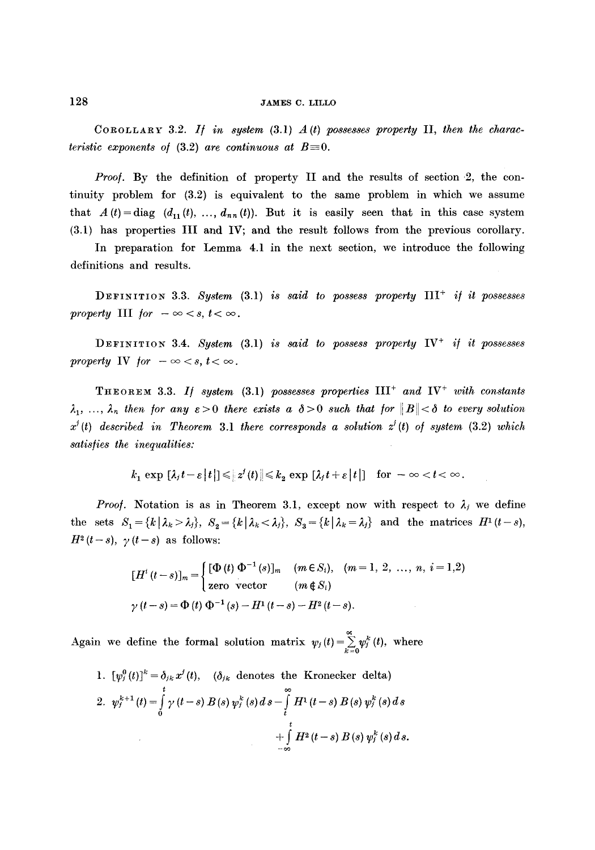COROLLARY 3.2. If in system  $(3.1)$   $A(t)$  possesses property II, then the charac*teristic exponents of (3.2) are continuous at*  $B=0$ *.* 

*Proof.* By the definition of property II and the results of section 2, the continuity problem for (3.2) is equivalent to the same problem in which we assume that  $A(t) = diag(d_{11}(t), ..., d_{nn}(t))$ . But it is easily seen that in this case system (3.1) has properties III and IV; and the result follows from the previous corollary.

In preparation for Lemma 4.1 in the next section, we introduce the following definitions and results.

DEFINITION 3.3. *System* (3.1) *is said to possess property* III+ *i/ it possesses property* III *for*  $-\infty < s, t < \infty$ .

DEFINITION 3.4. System (3.1) *is said to possess property* IV<sup>+</sup> *if it possesses property* IV *for*  $-\infty < s, t < \infty$ .

**THEOREM** 3.3. If system  $(3.1)$  possesses properties  $III^+$  and  $IV^+$  with constants  $\lambda_1, \ldots, \lambda_n$  then for any  $\varepsilon > 0$  there exists a  $\delta > 0$  such that for  $||B|| < \delta$  to every solution  $x^{j}(t)$  described in Theorem 3.1 there corresponds a solution  $z^{j}(t)$  of system  $(3.2)$  which *satis/ies the inequalities:* 

$$
k_1 \exp \left[ \lambda_i t - \varepsilon \, |t| \right] \leqslant |t_2(t)| \leqslant k_2 \exp \left[ \lambda_i t + \varepsilon \, |t| \right] \quad \text{for } -\infty < t < \infty.
$$

*Proof.* Notation is as in Theorem 3.1, except now with respect to  $\lambda_j$  we define the sets  $S_1 = \{k \mid \lambda_k > \lambda_j\}, S_2 = \{k \mid \lambda_k < \lambda_j\}, S_3 = \{k \mid \lambda_k = \lambda_j\}$  and the matrices  $H^1(t-s)$ ,  $H^2(t-s)$ ,  $\gamma(t-s)$  as follows:

$$
[H^{i}(t-s)]_{m} = \begin{cases} [\Phi(t) \ \Phi^{-1}(s)]_{m} & (m \in S_{i}), \quad (m = 1, 2, \dots, n, i = 1, 2) \\ \text{zero vector} & (m \notin S_{i}) \end{cases}
$$

$$
\gamma(t-s) = \Phi(t) \ \Phi^{-1}(s) - H^{1}(t-s) - H^{2}(t-s).
$$

Again we define the formal solution matrix  $\psi_j(t)=\sum_{j=1}^{\infty} \psi_j^k(t)$ , where

1. 
$$
[\psi_j^0(t)]^k = \delta_{jk} x^j(t), \quad (\delta_{jk} \text{ denotes the Kronecker delta})
$$
  
2. 
$$
\psi_j^{k+1}(t) = \int_0^t \gamma(t-s) B(s) \psi_j^k(s) ds - \int_t^s H^1(t-s) B(s) \psi_j^k(s) ds + \int_t^t H^2(t-s) B(s) \psi_j^k(s) ds.
$$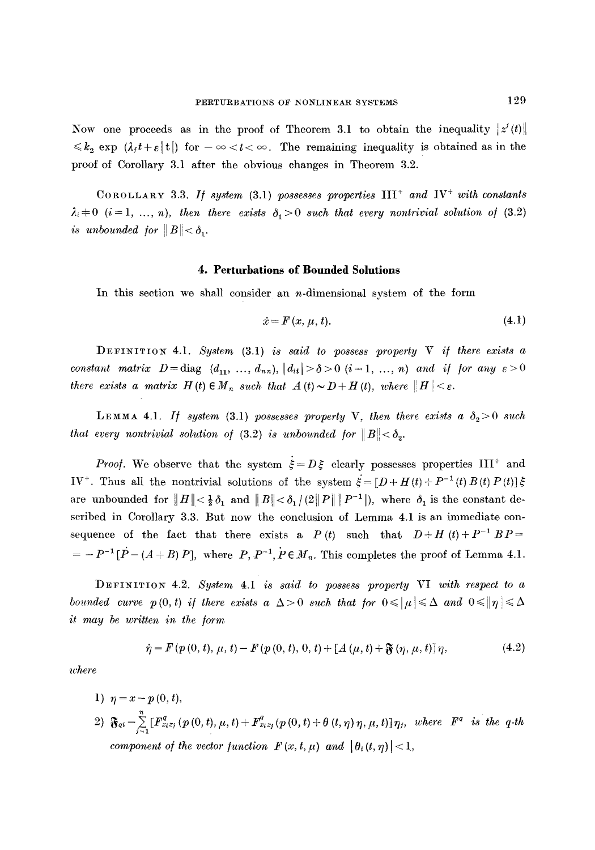Now one proceeds as in the proof of Theorem 3.1 to obtain the inequality  $\|z'(t)\|$  $\leq k_2 \exp \left( \lambda_i t + \varepsilon |t| \right)$  for  $-\infty < t < \infty$ . The remaining inequality is obtained as in the proof of Corollary 3.1 after the obvious changes in Theorem 3.2.

COROLLARY 3.3. If system  $(3.1)$  possesses properties  $III^+$  and  $IV^+$  with constants  $\lambda_i \neq 0$  (i = 1, ..., n), then there exists  $\delta_1 > 0$  such that every nontrivial solution of (3.2) *is unbounded for*  $||B|| < \delta_1$ .

#### **4. Perturbations of Bounded Solutions**

In this section we shall consider an  $n$ -dimensional system of the form

$$
\dot{x} = F(x, \mu, t). \tag{4.1}
$$

DEFINITION 4.1. System (3.1) *is said to possess property V if there exists a constant matrix D*=diag  $(d_{11}, ..., d_{nn})$ ,  $|d_{ii}| > \delta > 0$   $(i=1, ..., n)$  and if for any  $\epsilon > 0$ *there exists a matrix H (t)*  $\in M_n$  *such that*  $A(t) \sim D + H(t)$ *, where*  $||H|| < \varepsilon$ *.* 

LEMMA 4.1. *If system* (3.1) possesses property V, then there exists a  $\delta_2 > 0$  such *that every nontrivial solution of* (3.2) *is unbounded for*  $||B|| < \delta_2$ .

*Proof.* We observe that the system  $\dot{\xi} = D\xi$  clearly possesses properties III<sup>+</sup> and IV<sup>+</sup>. Thus all the nontrivial solutions of the system  $\dot{\xi} = [D + H(t) + P^{-1}(t) B(t) P(t)] \xi$ are unbounded for  $||H|| < \frac{1}{2}\delta_1$  and  $||B|| < \delta_1/(2||P|| ||P^{-1}||)$ , where  $\delta_1$  is the constant described in Corollary 3.3. But now the conclusion of Lemma 4.1 is an immediate consequence of the fact that there exists a *P(t)* such that  $D+H(t)+P^{-1}BP =$  $= -P^{-1}[\dot{P} - (A + B) P]$ , where  $P, P^{-1}, P \in M_n$ . This completes the proof of Lemma 4.1.

DEFINITION 4.2. *System* 4.1 *is said to possess property* VI *with respect to a bounded curve p(0,t) if there exists a*  $\Delta > 0$  such that for  $0 \leqslant |\mu| \leqslant \Delta$  and  $0 \leqslant |\eta| \leqslant \Delta$ *it may be written in the /orm* 

$$
\dot{\eta} = F(p(0, t), \mu, t) - F(p(0, t), 0, t) + [A(\mu, t) + \mathfrak{F}(\eta, \mu, t)]\eta,
$$
\n(4.2)

*where* 

\n- 1) 
$$
\eta = x - p(0, t)
$$
\n- 2)  $\mathfrak{F}_{qi} = \sum_{j=1}^{n} [F_{xi}^{q}(p(0, t), \mu, t) + F_{xi}^{q}(p(0, t) + \theta(t, \eta) \eta, \mu, t)] \eta_{j}$ , where  $F^{q}$  is the q-th component of the vector function  $F(x, t, \mu)$  and  $|\theta_{i}(t, \eta)| < 1$ ,
\n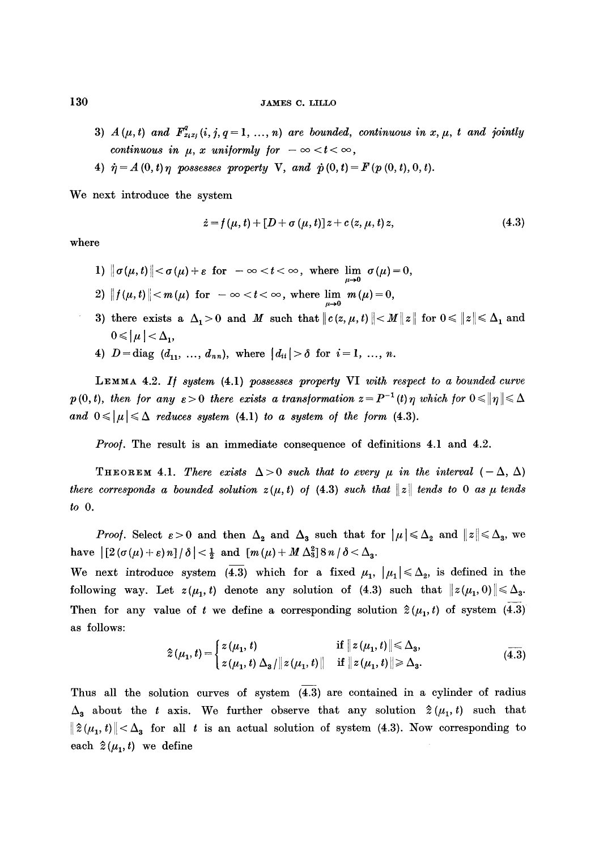- 3)  $A(\mu, t)$  and  $\mathbf{F}_{x_ix_j}^q(i, j, q = 1, ..., n)$  are bounded, continuous in x,  $\mu$ , t and jointly *continuous in*  $\mu$ *, x uniformly for*  $-\infty < t < \infty$ *,*
- 4)  $\dot{\eta} = A(0, t) \eta$  possesses property V, and  $\dot{p}(0, t) = F(p(0, t), 0, t)$ .

We next introduce the system

$$
\dot{z} = f(\mu, t) + [D + \sigma(\mu, t)]z + c(z, \mu, t)z, \tag{4.3}
$$

where

- 1)  $\|\sigma(\mu, t)\| < \sigma(\mu) + \varepsilon$  for  $-\infty < t < \infty$ , where  $\lim_{\mu \to 0} \sigma(\mu) = 0$ ,
- 2)  $|| f(\mu, t) || < m(\mu)$  for  $-\infty < t < \infty$ , where  $\lim_{\mu \to 0} m(\mu) = 0$ ,
- 3) there exists a  $\Delta_1 > 0$  and M such that  $||c(z, \mu, t)|| < M ||z||$  for  $0 \le ||z|| \le \Delta_1$  and  $0 \leqslant |\mu| < \Delta_1$
- 4)  $D = diag (d_{11}, ..., d_{nn})$ , where  $|d_{ii}| > \delta$  for  $i = 1, ..., n$ .

LEMMA 4.2. *I] system* (4.1) *possesses property* VI *with respect to a bounded curve p*(0, t), then for any  $\varepsilon > 0$  there exists a transformation  $z = P^{-1}(t)$  *n* which for  $0 \le ||\eta|| \le \Delta$ and  $0 \leqslant |\mu| \leqslant \Delta$  reduces system (4.1) to a system of the form (4.3).

*Proof.* The result is an immediate consequence of definitions 4.1 and 4.2.

THEOREM 4.1. There exists  $\Delta > 0$  such that to every  $\mu$  in the interval  $(-\Delta, \Delta)$ *there corresponds a bounded solution*  $z(\mu, t)$  of (4.3) *such that* ||z|| *tends to 0 as*  $\mu$  *tends to O.* 

*Proof.* Select  $\varepsilon > 0$  and then  $\Delta_2$  and  $\Delta_3$  such that for  $|\mu| \leq \Delta_2$  and  $||z|| \leq \Delta_3$ , we have  $\left| \left[ 2\left( \sigma(\mu)+\varepsilon\right) n\right] / \delta \right| < \frac{1}{2}$  and  $\left[ m(\mu)+M\Delta_{3}^{2}\right] 8 n / \delta < \Delta_{3}$ .

We next introduce system (4.3) which for a fixed  $\mu_1, \mu_1 \leq \Delta_2$ , is defined in the following way. Let  $z(\mu_1, t)$  denote any solution of (4.3) such that  $||z(\mu_1, 0)|| \leq \Delta_3$ . Then for any value of t we define a corresponding solution  $\hat{z}(\mu_1, t)$  of system (4.3) as follows:

$$
\hat{z}(\mu_1, t) = \begin{cases} z(\mu_1, t) & \text{if } ||z(\mu_1, t)|| \leq \Delta_3, \\ z(\mu_1, t) \Delta_3 / ||z(\mu_1, t)|| & \text{if } ||z(\mu_1, t)|| \geq \Delta_3. \end{cases}
$$
(4.3)

Thus all the solution curves of system (4.3) are contained in a cylinder of radius  $\Delta_{3}$  about the t axis. We further observe that any solution  $\hat{z}(\mu_{1}, t)$  such that  $||\hat{z}(\mu_1, t)|| < \Delta_3$  for all t is an actual solution of system (4.3). Now corresponding to each  $\hat{z}(\mu_1,t)$  we define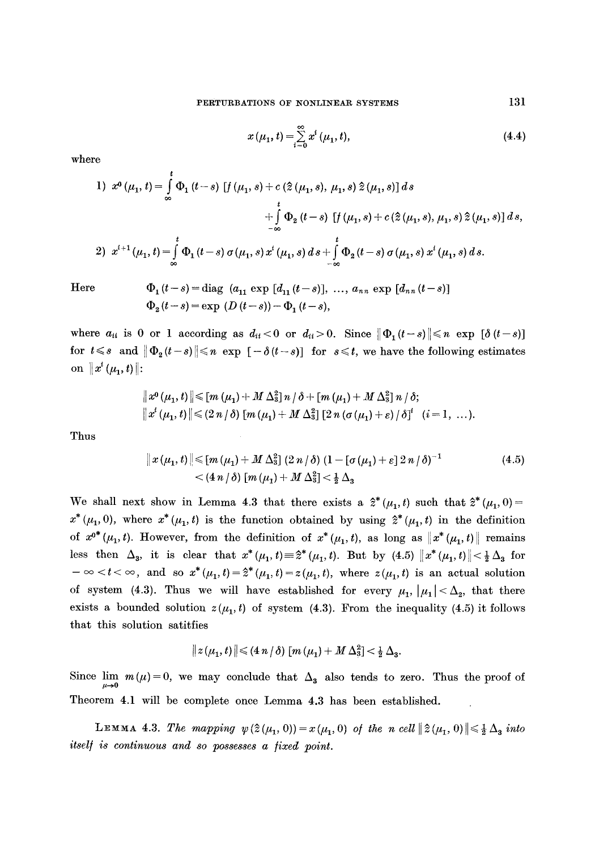$$
x(\mu_1, t) = \sum_{i=0}^{\infty} x^i (\mu_1, t), \qquad (4.4)
$$

where

1) 
$$
x^0 (\mu_1, t) = \int_{\infty}^t \Phi_1(t-s) [f(\mu_1, s) + c(\hat{z}(\mu_1, s), \mu_1, s) \hat{z}(\mu_1, s)] ds
$$
  
  $+ \int_{-\infty}^t \Phi_2(t-s) [f(\mu_1, s) + c(\hat{z}(\mu_1, s), \mu_1, s) \hat{z}(\mu_1, s)] ds$ ,  
2)  $x^{i+1} (\mu_1, t) = \int_{\infty}^t \Phi_1(t-s) \sigma(\mu_1, s) x^i (\mu_1, s) ds + \int_{-\infty}^t \Phi_2(t-s) \sigma(\mu_1, s) x^i (\mu_1, s) ds.$ 

Here 
$$
\Phi_1(t-s) = \text{diag}(a_{11} \exp [d_{11}(t-s)], ..., a_{nn} \exp [d_{nn}(t-s)]
$$
  
 $\Phi_2(t-s) = \exp (D(t-s)) - \Phi_1(t-s),$ 

where  $a_{ii}$  is 0 or 1 according as  $d_{ii} < 0$  or  $d_{ii} > 0$ . Since  $\|\Phi_1(t-s)\| \leq n \exp[\delta(t-s)]$ for  $t \leq s$  and  $\|\Phi_2(t-s)\| \leq n$  exp  $[-\delta(t-s)]$  for  $s \leq t$ , we have the following estimates on  $||x^{i}(\mu_1, t)||$ :

$$
\|x^{0}(\mu_{1},t)\| \leq [m (\mu_{1}) + M \Delta_{3}^{2}] n / \delta + [m (\mu_{1}) + M \Delta_{3}^{2}] n / \delta;
$$
  

$$
\|x^{i}(\mu_{1},t)\| \leq (2 n / \delta) [m (\mu_{1}) + M \Delta_{3}^{2}] [2 n (\sigma (\mu_{1}) + \varepsilon) / \delta]^{i} \quad (i=1, ...).
$$

Thus

$$
\|x(\mu_1, t)\| \leq [m(\mu_1) + M\Delta_3^2] (2 n/\delta) (1 - [\sigma(\mu_1) + \varepsilon] 2 n/\delta)^{-1}
$$
\n
$$
< (4 n/\delta) [m(\mu_1) + M\Delta_3^2] < \frac{1}{2} \Delta_3
$$
\n(4.5)

We shall next show in Lemma 4.3 that there exists a  $\hat{z}^*(\mu_1, t)$  such that  $\hat{z}^*(\mu_1, 0)$ =  $x^*(\mu_1, 0)$ , where  $x^*(\mu_1, t)$  is the function obtained by using  $\hat{z}^*(\mu_1, t)$  in the definition of  $x^{0*}(\mu_1, t)$ . However, from the definition of  $x^*(\mu_1, t)$ , as long as  $||x^*(\mu_1, t)||$  remains less then  $\Delta_3$ , it is clear that  $x^*(\mu_1,t)=\hat{z}^*(\mu_1,t)$ . But by (4.5)  $||x^*(\mu_1,t)||<\frac{1}{2}\Delta_3$  for  $-\infty < t < \infty$ , and so  $x^*(\mu_1, t) = \hat{z}^*(\mu_1, t) = z(\mu_1, t)$ , where  $z(\mu_1, t)$  is an actual solution of system (4.3). Thus we will have established for every  $\mu_1, |\mu_1| < \Delta_2$ , that there exists a bounded solution  $z(\mu_1, t)$  of system (4.3). From the inequality (4.5) it follows that this solution satitfies

$$
||z(\mu_1,t)|| \leq (4 n/\delta) [m (\mu_1) + M \Delta_3^2] < \frac{1}{2} \Delta_3.
$$

Since  $\lim_{\alpha \to 0} m(\mu)=0$ , we may conclude that  $\Delta_3$  also tends to zero. Thus the proof of Theorem 4.1 will be complete once Lemma 4.3 has been established.

**LEMMA 4.3.** The mapping  $\psi(\hat{z}(\mu_1, 0)) = x(\mu_1, 0)$  of the n cell  $\|\hat{z}(\mu_1, 0)\| \leq \frac{1}{2} \Delta_3$  into *itsel/ is continuous and so possesses a /ixed point.*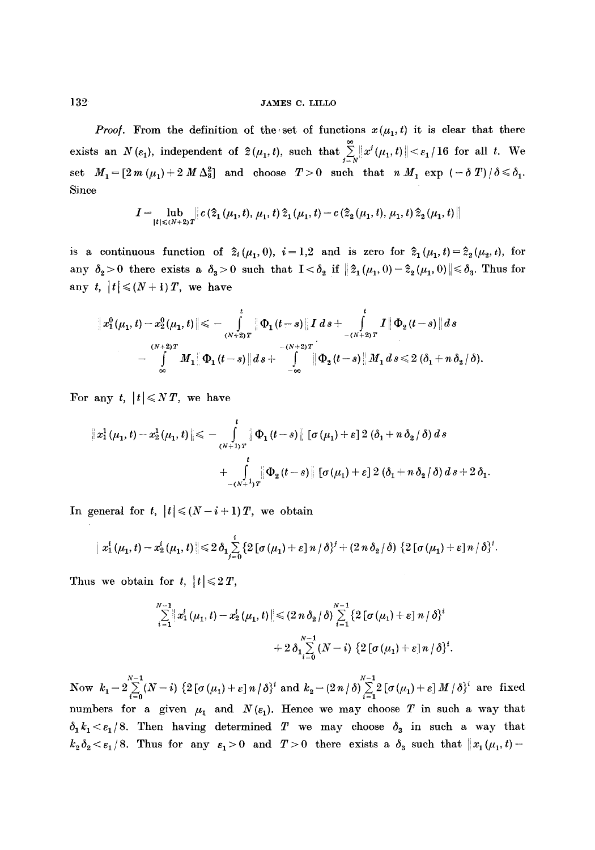*Proof.* From the definition of the set of functions  $x(\mu_1, t)$  it is clear that there exists an  $N(\varepsilon_1)$ , independent of  $\hat{z}(\mu_1, t)$ , such that  $\sum_{j=N} ||x^j(\mu_1, t)|| < \varepsilon_1 / 16$  for all t. We set  $M_1 = \left[2 m \left(\mu_1\right) + 2 M \Delta_3^2\right]$  and choose  $T > 0$  such that  $n M_1 \exp \left(-\delta T\right)/\delta \leq \delta_1$ . Since

$$
I=\!\!\lim_{|t|\leqslant (N+2)\,T}\!\!\left|\,c\,(\widehat{\mathbf{z}}_1\left(\mu_1,t),\,\mu_1,t\,\widehat{\mathbf{z}}_1\left(\mu_1,t\right)-c\,(\widehat{\mathbf{z}}_2\left(\mu_1,t\right),\,\mu_1,t\,\widehat{\mathbf{z}}_2\left(\mu_1,t\right)\,\right)\right|
$$

is a continuous function of  $\hat{z}_i(\mu_1, 0)$ ,  $i = 1,2$  and is zero for  $\hat{z}_1(\mu_1, t) = \hat{z}_2(\mu_2, t)$ , for any  $\delta_2 > 0$  there exists a  $\delta_3 > 0$  such that  $I < \delta_2$  if  $|| \hat{z}_1(\mu_1,0) - \hat{z}_2(\mu_1,0)|| \leq \delta_3$ . Thus for any  $t, |t| \leq (N+1)T$ , we have

$$
\|x_1^0(\mu_1,t)-x_2^0(\mu_1,t)\| \leqslant -\int\limits_{(N+2)T}^{t} \|\Phi_1(t-s)\|I\ ds + \int\limits_{-(N+2)T}^{t} I\|\Phi_2(t-s)\|ds \\ -\int\limits_{-\infty}^{(N+2)T} M_1\|\Phi_1(t-s)\|ds + \int\limits_{-\infty}^{-(N+2)T} \|\Phi_2(t-s)\|M_1\ ds \leqslant 2(\delta_1+n\delta_2/\delta).
$$

For any t,  $|t| \leq N T$ , we have

$$
||x_{1}^{1}(\mu_{1}, t) - x_{2}^{1}(\mu_{1}, t)|| \leq \ - \int_{(N+1)T}^{t} ||\Phi_{1}(t-s)|| \left[\sigma(\mu_{1}) + \varepsilon\right] 2(\delta_{1} + n \delta_{2}/\delta) ds
$$
  
+ 
$$
\int_{-(N+1)T}^{t} ||\Phi_{2}(t-s)|| \left[\sigma(\mu_{1}) + \varepsilon\right] 2(\delta_{1} + n \delta_{2}/\delta) ds + 2 \delta_{1}
$$

In general for **t**,  $|t| \leq (N-i+1)T$ , we obtain

$$
\|x_1^t(\mu_1,t)-x_2^t(\mu_1,t)\|\leq 2\,\delta_1\sum_{j=0}^t\{2\,[\sigma(\mu_1)+\varepsilon]\,n\,/\,\delta\}^j+(2\,n\,\delta_2\,/\,\delta)\,\{2\,[\sigma(\mu_1)+\varepsilon]\,n\,/\,\delta\}^i.
$$

Thus we obtain for t,  $|t| \leq 2T$ ,

$$
\sum_{i=1}^{N-1} \|x_1^i(\mu_1, t) - x_2^i(\mu_1, t)\| \leq (2 n \delta_2 / \delta) \sum_{i=1}^{N-1} \{2 [\sigma(\mu_1) + \varepsilon] n / \delta\}^i
$$
  
+  $2 \delta_1 \sum_{i=0}^{N-1} (N-i) \{2 [\sigma(\mu_1) + \varepsilon] n / \delta\}^i$ .

 $N-1$   $N-1$ Now  $k_1 = 2 \sum_{i=0} (N-i) \left\{ 2 \left[ \sigma(\mu_1) + \varepsilon \right] n / \delta \right\}^i$  and  $k_2 = (2 n / \delta) \sum_{i=1} 2 \left[ \sigma(\mu_1) + \varepsilon \right] M / \delta \}^i$  are fixed numbers for a given  $\mu_1$  and  $N(\epsilon_1)$ . Hence we may choose T in such a way that  $\delta_1 k_1 < \epsilon_1/8$ . Then having determined T we may choose  $\delta_3$  in such a way that  $k_2\delta_2 < \varepsilon_1/8$ . Thus for any  $\varepsilon_1>0$  and  $T>0$  there exists a  $\delta_3$  such that  $||x_1(\mu_1, t)-$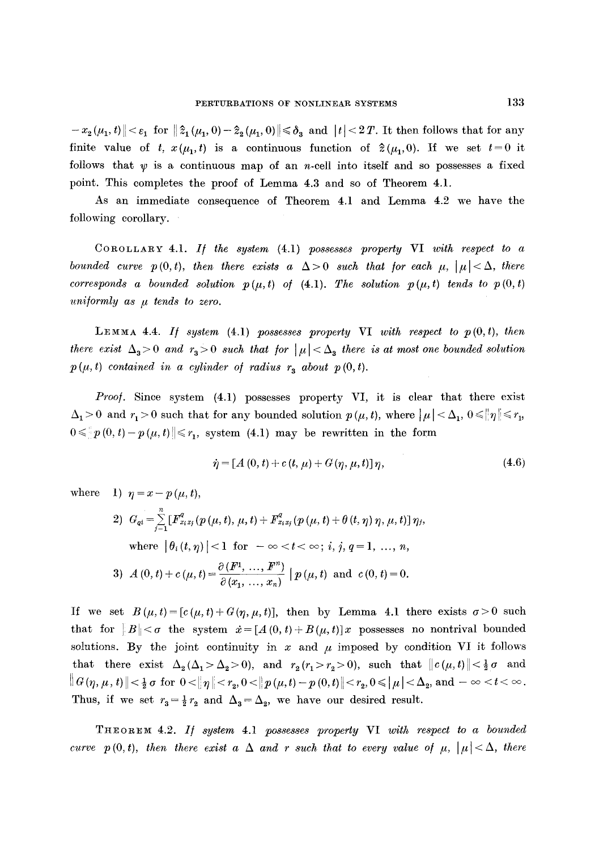$- x_2(\mu_1, t) \leq \varepsilon_1$  for  $|| \hat{z}_1(\mu_1, 0) - \hat{z}_2(\mu_1, 0)|| \leq \delta_3$  and  $||t|| < 2T$ . It then follows that for any finite value of *t*,  $x(\mu_1, t)$  is a continuous function of  $\hat{z}(\mu_1, 0)$ . If we set  $t=0$  it follows that  $\psi$  is a continuous map of an n-cell into itself and so possesses a fixed point. This completes the proof of Lemma 4.3 and so of Theorem 4.1.

As an immediate consequence of Theorem 4.1 and Lemma 4.2 we have the following corollary.

COROLLARY 4.1. *I/ the system* (4.1) *possesses property* VI *with respect to a bounded curve p(0,t), then there exists a*  $\Delta > 0$  *such that for each*  $\mu$ *,*  $|\mu| < \Delta$ *, there corresponds a bounded solution*  $p(\mu, t)$  *of (4.1). The solution*  $p(\mu, t)$  *tends to*  $p(0, t)$ *uniformly as*  $\mu$  *tends to zero.* 

LEMMA 4.4. If system  $(4.1)$  possesses property VI with respect to  $p(0,t)$ , then *there exist*  $\Delta_3 > 0$  and  $r_3 > 0$  such that for  $|\mu| < \Delta_3$  there is at most one bounded solution  $p(\mu, t)$  contained in a cylinder of radius  $r_a$  about  $p(0, t)$ .

*Proof.* Since system (4.1) possesses property VI, it is clear that there exist  $\Delta_1 > 0$  and  $r_1 > 0$  such that for any bounded solution  $p(\mu, t)$ , where  $|\mu| < \Delta_1$ ,  $0 \leq |\eta| \leq r_1$ ,  $0 \leqslant p(0, t) - p(\mu, t) \leqslant r_1$ , system (4.1) may be rewritten in the form

$$
\dot{\eta} = [A(0, t) + c(t, \mu) + G(\eta, \mu, t)]\eta, \tag{4.6}
$$

where 1)  $\eta = x - p(\mu, t)$ ,

2) 
$$
G_{qi} = \sum_{j=1}^{n} [F_{x_ix_j}^q(p(\mu, t), \mu, t) + F_{x_ix_j}^q(p(\mu, t) + \theta(t, \eta) \eta, \mu, t)] \eta_j
$$
,  
where  $|\theta_i(t, \eta)| < 1$  for  $-\infty < t < \infty$ ; *i*, *j*, *q* = 1, ..., *n*,  
3)  $A(0, t) + c(\mu, t) = \frac{\partial(F^1, \ldots, F^n)}{\partial(x_1, \ldots, x_n)} |p(\mu, t) \text{ and } c(0, t) = 0.$ 

If we set  $B(\mu, t)=[c(\mu, t)+G(\eta, \mu, t)],$  then by Lemma 4.1 there exists  $\sigma>0$  such that for  $||B|| < \sigma$  the system  $\dot{x} = [A(0, t) + B(\mu, t)]x$  possesses no nontrival bounded solutions. By the joint continuity in x and  $\mu$  imposed by condition VI it follows that there exist  $\Delta_2(\Delta_1 > \Delta_2 > 0)$ , and  $r_2(r_1 > r_2 > 0)$ , such that  $||c(\mu, t)|| < \frac{1}{2}\sigma$  and  $\|G(\eta,\mu,t)\|{<}\frac{1}{2}\,\sigma\,\,{\rm for}\,\,\, 0 {<} \|\,\eta\,{|<}\,r_{2}, 0 {<} \|p\,(\mu,t)-p\,(0,t)\|{<}\,r_{2}, 0 {\leqslant} \|\,\mu\,{|<}\Delta_{2}, \,{\rm and}\, -\infty <\, < \infty\,.$ Thus, if we set  $r_3 = \frac{1}{2}r_2$  and  $\Delta_3 = \Delta_2$ , we have our desired result.

THeOreM 4.2. *I/ system* 4.1 *possesses property* VI *with respect to a bounded curve*  $p(0, t)$ , then there exist a  $\Delta$  and r such that to every value of  $\mu$ ,  $|\mu| < \Delta$ , there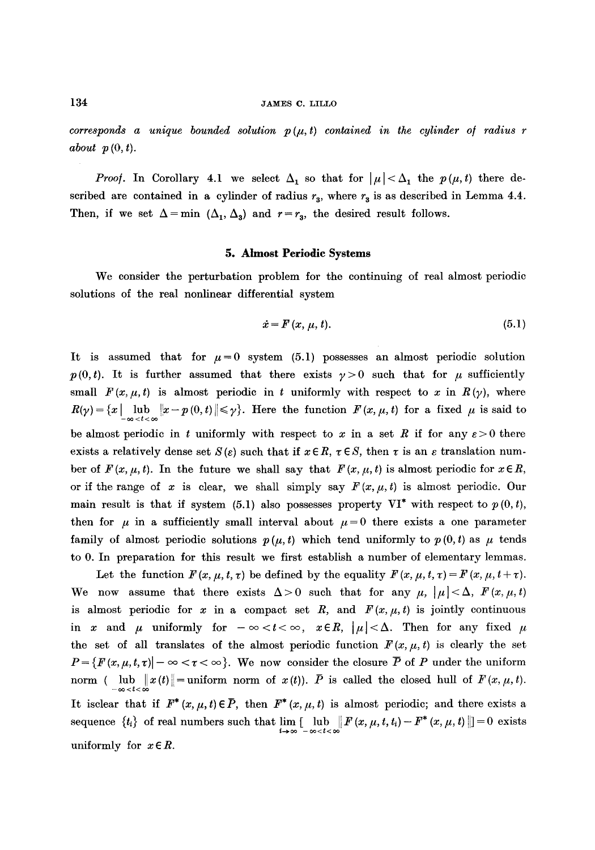$corresponds$  a unique bounded solution  $p(\mu, t)$  contained in the cylinder of radius r *about p (0, t).* 

*Proof.* In Corollary 4.1 we select  $\Delta_1$  so that for  $|\mu| < \Delta_1$  the  $p(\mu, t)$  there described are contained in a cylinder of radius  $r<sub>3</sub>$ , where  $r<sub>3</sub>$  is as described in Lemma 4.4. Then, if we set  $\Delta = \min (\Delta_1, \Delta_3)$  and  $r=r_3$ , the desired result follows.

#### **5. Almost Periodic Systems**

We consider the perturbation problem for the continuing of real almost periodic solutions of the real nonlinear differential system

$$
\dot{x} = F(x, \mu, t). \tag{5.1}
$$

It is assumed that for  $\mu=0$  system (5.1) possesses an almost periodic solution  $p(0,t)$ . It is further assumed that there exists  $p>0$  such that for  $\mu$  sufficiently small  $F(x, \mu, t)$  is almost periodic in t uniformly with respect to x in  $R(\gamma)$ , where  $R(\gamma) = \{x \mid \lim_{n \to \infty} ||x - p(0, t)|| \leq \gamma\}.$  Here the function  $F(x, \mu, t)$  for a fixed  $\mu$  is said to be almost periodic in t uniformly with respect to x in a set R if for any  $\varepsilon > 0$  there exists a relatively dense set  $S(\varepsilon)$  such that if  $x \in R$ ,  $\tau \in S$ , then  $\tau$  is an  $\varepsilon$  translation number of  $F(x, \mu, t)$ . In the future we shall say that  $F(x, \mu, t)$  is almost periodic for  $x \in R$ , or if the range of x is clear, we shall simply say  $F(x, \mu, t)$  is almost periodic. Our main result is that if system (5.1) also possesses property  $VI^*$  with respect to  $p(0, t)$ , then for  $\mu$  in a sufficiently small interval about  $\mu = 0$  there exists a one parameter family of almost periodic solutions  $p(\mu, t)$  which tend uniformly to  $p(0, t)$  as  $\mu$  tends to 0. In preparation for this result we first establish a number of elementary lemmas.

Let the function  $F(x, \mu, t, \tau)$  be defined by the equality  $F(x, \mu, t, \tau) = F(x, \mu, t + \tau)$ . We now assume that there exists  $\Delta > 0$  such that for any  $\mu$ ,  $|\mu| < \Delta$ ,  $F(x, \mu, t)$ is almost periodic for x in a compact set R, and  $F(x, \mu, t)$  is jointly continuous in x and  $\mu$  uniformly for  $-\infty < t < \infty$ ,  $x \in R$ ,  $|\mu| < \Delta$ . Then for any fixed  $\mu$ the set of all translates of the almost periodic function  $F(x, \mu, t)$  is clearly the set  $P = \{F(x, \mu, t, \tau) | -\infty < \tau < \infty\}$ . We now consider the closure P of P under the uniform norm (  $\lim_{n \to \infty} ||x(t)|| =$  uniform norm of  $x(t)$ ). P is called the closed hull of  $F(x, \mu, t)$ . It isclear that if  $F^*(x, \mu, t) \in \overline{P}$ , then  $F^*(x, \mu, t)$  is almost periodic; and there exists a sequence  $\{t_i\}$  of real numbers such that  $\lim_{i\to\infty} \left[\lim_{-\infty < t < \infty} \left|F(x,\mu,t,t_i) - F^*(x,\mu,t)\right|\right] = 0$  exists uniformly for  $x \in R$ .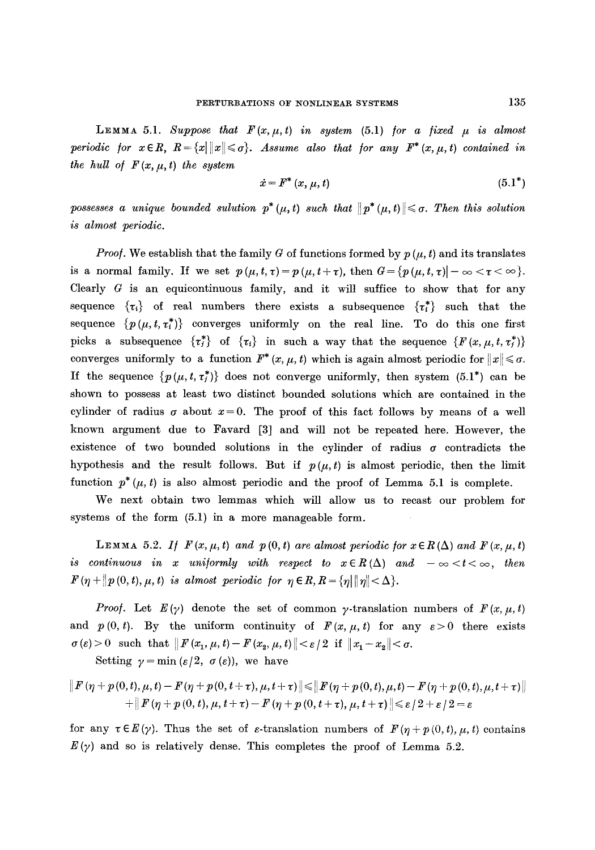LEMMA 5.1. Suppose that  $F(x, \mu, t)$  in system  $(5.1)$  for a fixed  $\mu$  is almost *periodic for*  $x \in R$ ,  $R = \{x \mid ||x|| \leq \sigma\}$ . Assume also that for any  $F^*(x, \mu, t)$  contained in *the hull of*  $F(x, \mu, t)$  *the system* 

$$
\dot{x} = F^* (x, \mu, t) \tag{5.1}^*
$$

possesses a unique bounded sulution  $p^*(\mu, t)$  such that  $||p^*(\mu, t)|| \leq \sigma$ . Then this solution *is almost periodic.* 

*Proof.* We establish that the family G of functions formed by  $p(\mu, t)$  and its translates is a normal family. If we set  $p(\mu, t, \tau) = p(\mu, t + \tau)$ , then  $G = \{p(\mu, t, \tau) | -\infty < \tau < \infty\}$ . Clearly  $G$  is an equicontinuous family, and it will suffice to show that for any sequence  $\{\tau_i\}$  of real numbers there exists a subsequence  $\{\tau_i^*\}$  such that the sequence  $\{p(\mu, t, \tau_i^*)\}$  converges uniformly on the real line. To do this one first picks a subsequence  $\{\tau_i^*\}$  of  $\{\tau_i\}$  in such a way that the sequence  $\{F(x, \mu, t, \tau_i^*)\}$ converges uniformly to a function  $F^*(x, \mu, t)$  which is again almost periodic for  $||x|| \leq \sigma$ . If the sequence  $\{p(\mu, t, \tau_j^*)\}$  does not converge uniformly, then system (5.1\*) can be shown to possess at least two distinct bounded solutions which are contained in the cylinder of radius  $\sigma$  about  $x=0$ . The proof of this fact follows by means of a well known argument due to Favard [3] and will not be repeated here. However, the existence of two bounded solutions in the cylinder of radius  $\sigma$  contradicts the hypothesis and the result follows. But if  $p(\mu, t)$  is almost periodic, then the limit function  $p^*(\mu, t)$  is also almost periodic and the proof of Lemma 5.1 is complete.

We next obtain two lemmas which will allow us to recast our problem for systems of the form (5.1) in a more manageable form.

LEMMA 5.2. If  $F(x, \mu, t)$  and  $p(0, t)$  are almost periodic for  $x \in R(\Delta)$  and  $F(x, \mu, t)$ *is continuous in x uniformly with respect to*  $x \in R(\Delta)$  *and*  $-\infty < t < \infty$ *, then*  $F(\eta + \|p(0, t), \mu, t)$  is almost periodic for  $\eta \in R$ ,  $R = \{\eta | \|\eta \| < \Delta\}.$ 

*Proof.* Let  $E(\gamma)$  denote the set of common y-translation numbers of  $F(x, \mu, t)$ and  $p(0, t)$ . By the uniform continuity of  $F(x, \mu, t)$  for any  $\varepsilon > 0$  there exists  $\sigma(\varepsilon)>0$  such that  $\|F(x_1,\mu,t)-F(x_2,\mu,t)\|<\varepsilon/2$  if  $\|x_1-x_2\|<\sigma$ .

Setting  $\gamma = \min(\varepsilon/2, \sigma(\varepsilon))$ , we have

$$
\begin{aligned} \left\|F\left(\eta+p\left(0,t\right),\mu,t\right)-F\left(\eta+p\left(0,t+\tau\right),\mu,t+\tau\right)\right\|\leqslant&\left\|F\left(\eta+p\left(0,t\right),\mu,t\right)-F\left(\eta+p\left(0,t\right),\mu,t+\tau\right)\right\|\\ &+\left\|F\left(\eta+p\left(0,t\right),\mu,t+\tau\right)-F\left(\eta+p\left(0,t+\tau\right),\mu,t+\tau\right)\right\|\leqslant\epsilon\left/2+\epsilon\left/2=\epsilon\right. \end{aligned}
$$

for any  $\tau \in E(\gamma)$ . Thus the set of  $\varepsilon$ -translation numbers of  $F(\eta + p(0, t), \mu, t)$  contains  $E(\gamma)$  and so is relatively dense. This completes the proof of Lemma 5.2.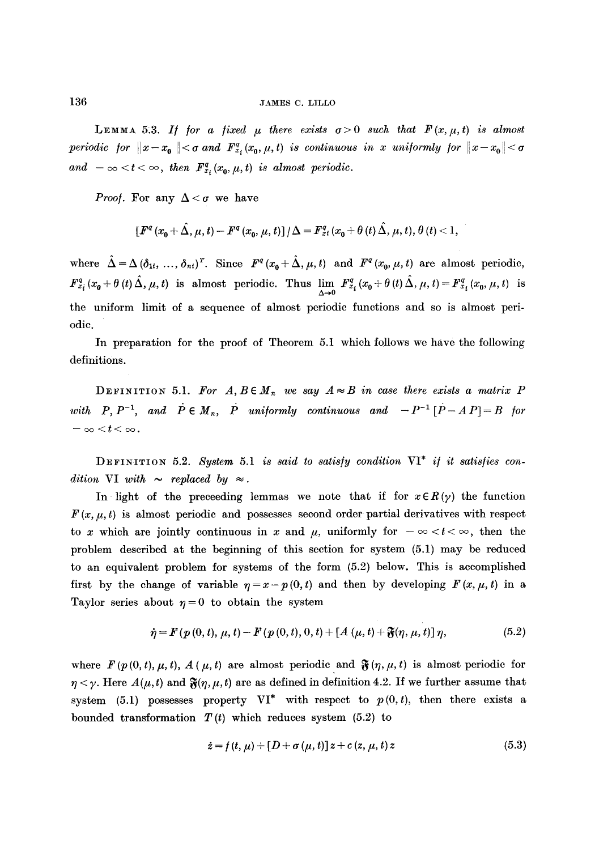LEMMA 5.3. If for a fixed  $\mu$  there exists  $\sigma > 0$  such that  $F(x, \mu, t)$  is almost *periodic for*  $||x-x_0|| < \sigma$  and  $F_{x_i}^q(x_0, \mu, t)$  is continuous in x uniformly for  $||x-x_0|| < \sigma$ and  $-\infty < t < \infty$ , then  $F_{x}^{q}(x_0, \mu, t)$  is almost periodic.

*Proof.* For any  $\Delta < \sigma$  we have

$$
[F^{q}(x_{0}+\hat{\Delta},\mu,t)-F^{q}(x_{0},\mu,t)]/\Delta=F_{xi}^{q}(x_{0}+\theta(t)\hat{\Delta},\mu,t),\theta(t)<1,
$$

where  $\hat{\Delta} = \Delta (\delta_{1i}, ..., \delta_{ni})^T$ . Since  $F^q(x_0 + \hat{\Delta}, \mu, t)$  and  $F^q(x_0, \mu, t)$  are almost periodic,  $F_{x_i}^q(x_0 + \theta(t)\Delta, \mu, t)$  is almost periodic. Thus  $\lim_{\Delta \to 0} F_{x_i}^q(x_0 + \theta(t)\Delta, \mu, t) = F_{x_i}^q(x_0, \mu, t)$  is the uniform limit of a sequence of almost periodic functions and so is almost periodic.

In preparation for the proof of Theorem 5.1 which follows we have the following definitions.

DEFINITION 5.1. For  $A, B \in M_n$  we say  $A \approx B$  in case there exists a matrix P with P,  $P^{-1}$ , and  $\dot{P} \in M_n$ ,  $\dot{P}$  uniformly continuous and  $-P^{-1}[\dot{P}-AP]=B$  for  $-\infty < t < \infty$ .

DEFINITION 5.2. *System* 5.1 *is said to satis/y condition* VI\* *i/ it satis/ie8 condition VI with*  $\sim$  *replaced by*  $\approx$ *.* 

In light of the preceeding lemmas we note that if for  $x \in R(\gamma)$  the function  $F(x, \mu, t)$  is almost periodic and possesses second order partial derivatives with respect to x which are jointly continuous in x and  $\mu$ , uniformly for  $-\infty < t < \infty$ , then the problem described at the beginning of this section for system (5.1) may be reduced to an equivalent problem for systems of the form (5.2) below. This is accomplished first by the change of variable  $\eta = x - p(0, t)$  and then by developing  $F(x, \mu, t)$  in a Taylor series about  $\eta = 0$  to obtain the system

$$
\dot{\eta} = F(p(0, t), \mu, t) - F(p(0, t), 0, t) + [A(\mu, t) + \mathfrak{F}(\eta, \mu, t)] \eta, \tag{5.2}
$$

where  $F(p(0, t), \mu, t)$ ,  $A(\mu, t)$  are almost periodic and  $\mathfrak{F}(\eta, \mu, t)$  is almost periodic for  $\eta < \gamma$ . Here  $A(\mu, t)$  and  $\mathfrak{F}(\eta, \mu, t)$  are as defined in definition 4.2. If we further assume that system (5.1) possesses property  $VI^*$  with respect to  $p(0, t)$ , then there exists a bounded transformation  $T(t)$  which reduces system (5.2) to

$$
\dot{z} = f(t, \mu) + [D + \sigma(\mu, t)]z + c(z, \mu, t)z \tag{5.3}
$$

 $\bar{\omega}$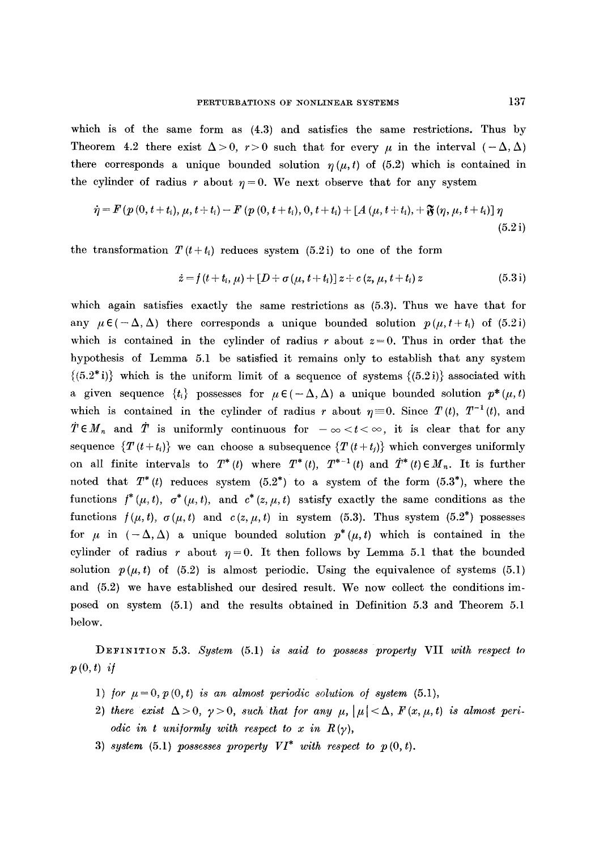which is of the same form as (4.3) and satisfies the same restrictions. Thus by Theorem 4.2 there exist  $\Delta > 0$ ,  $r > 0$  such that for every  $\mu$  in the interval  $(-\Delta, \Delta)$ there corresponds a unique bounded solution  $\eta(\mu, t)$  of (5.2) which is contained in the cylinder of radius r about  $\eta = 0$ . We next observe that for any system

$$
\dot{\eta} = F(p(0, t + t_i), \mu, t + t_i) - F(p(0, t + t_i), 0, t + t_i) + [A(\mu, t + t_i), + \mathfrak{F}(\eta, \mu, t + t_i)] \eta
$$
\n(5.2 i)

the transformation  $T(t + t_i)$  reduces system (5.2i) to one of the form

$$
\dot{z} = f(t + t_i, \mu) + [D + \sigma(\mu, t + t_i)] z + c(z, \mu, t + t_i) z \tag{5.3 i}
$$

which again satisfies exactly the same restrictions as (5.3). Thus we have that for any  $\mu \in (-\Delta, \Delta)$  there corresponds a unique bounded solution  $p(\mu, t+t_i)$  of (5.2i) which is contained in the cylinder of radius r about  $z=0$ . Thus in order that the hypothesis of Lemma 5.1 be satisfied it remains only to establish that any system  $\{(5.2^*)\}$  which is the uniform limit of a sequence of systems  $\{(5.2^*)\}$  associated with a given sequence  $\{t_i\}$  possesses for  $\mu \in (-\Delta, \Delta)$  a unique bounded solution  $p^*(\mu, t)$ which is contained in the cylinder of radius r about  $\eta = 0$ . Since  $T(t)$ ,  $T^{-1}(t)$ , and  $T \in M_n$  and  $T$  is uniformly continuous for  $-\infty < t < \infty$ , it is clear that for any sequence  $\{T(t+t_i)\}$  we can choose a subsequence  $\{T(t+t_j)\}$  which converges uniformly on all finite intervals to  $T^*(t)$  where  $T^*(t)$ ,  $T^{*-1}(t)$  and  $\dot{T}^*(t) \in M_n$ . It is further noted that  $T^*(t)$  reduces system  $(5.2^*)$  to a system of the form  $(5.3^*)$ , where the functions  $f^*(\mu, t)$ ,  $\sigma^*(\mu, t)$ , and  $c^*(z, \mu, t)$  satisfy exactly the same conditions as the functions  $f(\mu, t)$ ,  $\sigma(\mu, t)$  and  $c(z, \mu, t)$  in system (5.3). Thus system (5.2<sup>\*</sup>) possesses for  $\mu$  in  $(-\Delta, \Delta)$  a unique bounded solution  $p^*(\mu, t)$  which is contained in the cylinder of radius r about  $\eta = 0$ . It then follows by Lemma 5.1 that the bounded solution  $p(\mu, t)$  of (5.2) is almost periodic. Using the equivalence of systems (5.1) and (5.2) we have established our desired result. We now collect the conditions imposed on system (5.1) and the results obtained in Definition 5.3 and Theorem 5.1 below.

DEFINITION 5.3. *System* (5.1) *is said to possess property* VII *with respect to p (0, t) i/* 

- 1) for  $\mu = 0$ ,  $p(0, t)$  is an almost periodic solution of system (5.1),
- 2) there exist  $\Delta > 0$ ,  $\gamma > 0$ , such that for any  $\mu$ ,  $|\mu| < \Delta$ ,  $F(x, \mu, t)$  is almost peri*odic in t uniformly with respect to x in*  $R(\gamma)$ *,*
- 3) *system* (5.1) *possesses property*  $VI^*$  *with respect to p(0,t).*